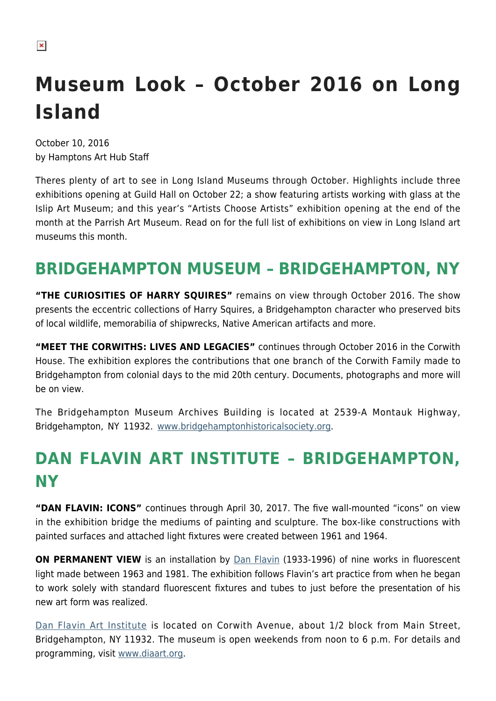# **Museum Look – October 2016 on Long Island**

October 10, 2016 by Hamptons Art Hub Staff

Theres plenty of art to see in Long Island Museums through October. Highlights include three exhibitions opening at Guild Hall on October 22; a show featuring artists working with glass at the Islip Art Museum; and this year's "Artists Choose Artists" exhibition opening at the end of the month at the Parrish Art Museum. Read on for the full list of exhibitions on view in Long Island art museums this month.

## **BRIDGEHAMPTON MUSEUM – BRIDGEHAMPTON, NY**

**"THE CURIOSITIES OF HARRY SQUIRES"** remains on view through October 2016. The show presents the eccentric collections of Harry Squires, a Bridgehampton character who preserved bits of local wildlife, memorabilia of shipwrecks, Native American artifacts and more.

**"MEET THE CORWITHS: LIVES AND LEGACIES"** continues through October 2016 in the Corwith House. The exhibition explores the contributions that one branch of the Corwith Family made to Bridgehampton from colonial days to the mid 20th century. Documents, photographs and more will be on view.

The Bridgehampton Museum Archives Building is located at 2539-A Montauk Highway, Bridgehampton, NY 11932. [www.bridgehamptonhistoricalsociety.org](http://www.bridgehamptonhistoricalsociety.org/).

## **DAN FLAVIN ART INSTITUTE – BRIDGEHAMPTON, NY**

**"DAN FLAVIN: ICONS"** continues through April 30, 2017. The five wall-mounted "icons" on view in the exhibition bridge the mediums of painting and sculpture. The box-like constructions with painted surfaces and attached light fixtures were created between 1961 and 1964.

**ON PERMANENT VIEW** is an installation by [Dan Flavin](https://en.wikipedia.org/wiki/Dan_Flavin) (1933-1996) of nine works in fluorescent light made between 1963 and 1981. The exhibition follows Flavin's art practice from when he began to work solely with standard fluorescent fixtures and tubes to just before the presentation of his new art form was realized.

[Dan Flavin Art Institute](https://hamptonsarthub.com/museum-guide/dan-flavin-art-institute/) is located on Corwith Avenue, about 1/2 block from Main Street, Bridgehampton, NY 11932. The museum is open weekends from noon to 6 p.m. For details and programming, visit [www.diaart.org.](http://www.diaart.org/)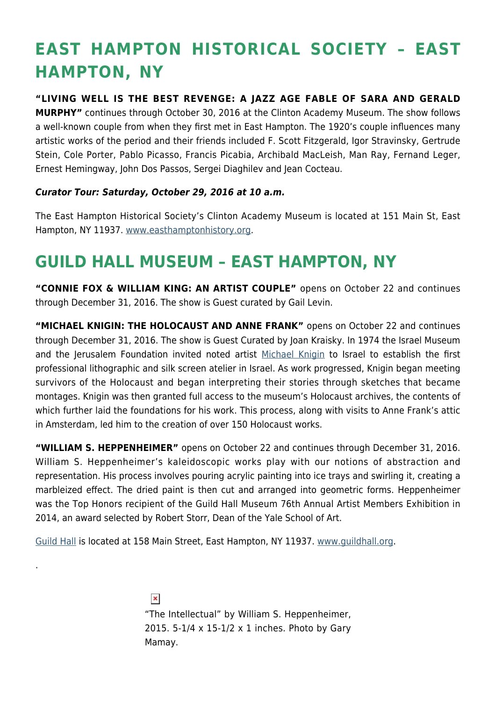## **EAST HAMPTON HISTORICAL SOCIETY – EAST HAMPTON, NY**

#### **"LIVING WELL IS THE BEST REVENGE: A JAZZ AGE FABLE OF SARA AND GERALD**

**MURPHY"** continues through October 30, 2016 at the Clinton Academy Museum. The show follows a well-known couple from when they first met in East Hampton. The 1920's couple influences many artistic works of the period and their friends included F. Scott Fitzgerald, Igor Stravinsky, Gertrude Stein, Cole Porter, Pablo Picasso, Francis Picabia, Archibald MacLeish, Man Ray, Fernand Leger, Ernest Hemingway, John Dos Passos, Sergei Diaghilev and Jean Cocteau.

#### *Curator Tour: Saturday, October 29, 2016 at 10 a.m.*

The East Hampton Historical Society's Clinton Academy Museum is located at 151 Main St, East Hampton, NY 11937. [www.easthamptonhistory.org](http://www.easthamptonhistory.org/).

### **GUILD HALL MUSEUM – EAST HAMPTON, NY**

**"CONNIE FOX & WILLIAM KING: AN ARTIST COUPLE"** opens on October 22 and continues through December 31, 2016. The show is Guest curated by Gail Levin.

**"MICHAEL KNIGIN: THE HOLOCAUST AND ANNE FRANK"** opens on October 22 and continues through December 31, 2016. The show is Guest Curated by Joan Kraisky. In 1974 the Israel Museum and the Jerusalem Foundation invited noted artist [Michael Knigin](http://www.michaelknigin.net/) to Israel to establish the first professional lithographic and silk screen atelier in Israel. As work progressed, Knigin began meeting survivors of the Holocaust and began interpreting their stories through sketches that became montages. Knigin was then granted full access to the museum's Holocaust archives, the contents of which further laid the foundations for his work. This process, along with visits to Anne Frank's attic in Amsterdam, led him to the creation of over 150 Holocaust works.

**"WILLIAM S. HEPPENHEIMER"** opens on October 22 and continues through December 31, 2016. William S. Heppenheimer's kaleidoscopic works play with our notions of abstraction and representation. His process involves pouring acrylic painting into ice trays and swirling it, creating a marbleized effect. The dried paint is then cut and arranged into geometric forms. Heppenheimer was the Top Honors recipient of the Guild Hall Museum 76th Annual Artist Members Exhibition in 2014, an award selected by Robert Storr, Dean of the Yale School of Art.

[Guild Hall](https://hamptonsarthub.com/museum-guide/guild-hall/) is located at 158 Main Street, East Hampton, NY 11937. [www.guildhall.org](http://www.guildhall.org/).

.

 $\pmb{\times}$ "The Intellectual" by William S. Heppenheimer, 2015. 5-1/4 x 15-1/2 x 1 inches. Photo by Gary Mamay.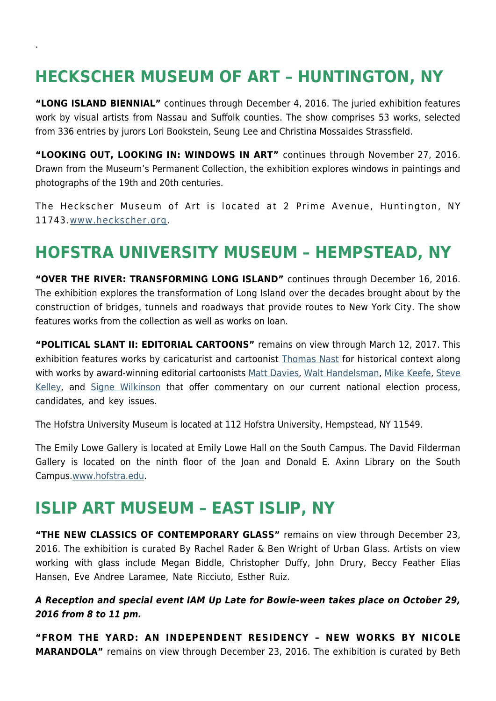## **HECKSCHER MUSEUM OF ART – HUNTINGTON, NY**

.

**"LONG ISLAND BIENNIAL"** continues through December 4, 2016. The juried exhibition features work by visual artists from Nassau and Suffolk counties. The show comprises 53 works, selected from 336 entries by jurors Lori Bookstein, Seung Lee and Christina Mossaides Strassfield.

**"LOOKING OUT, LOOKING IN: WINDOWS IN ART"** continues through November 27, 2016. Drawn from the Museum's Permanent Collection, the exhibition explores windows in paintings and photographs of the 19th and 20th centuries.

The Heckscher Museum of Art is located at 2 Prime Avenue, Huntington, NY 11743.[www.heckscher.org.](http://www.heckscher.org/)

#### **HOFSTRA UNIVERSITY MUSEUM – HEMPSTEAD, NY**

**"OVER THE RIVER: TRANSFORMING LONG ISLAND"** continues through December 16, 2016. The exhibition explores the transformation of Long Island over the decades brought about by the construction of bridges, tunnels and roadways that provide routes to New York City. The show features works from the collection as well as works on loan.

**"POLITICAL SLANT II: EDITORIAL CARTOONS"** remains on view through March 12, 2017. This exhibition features works by caricaturist and cartoonist [Thomas Nast](https://en.wikipedia.org/wiki/Thomas_Nast) for historical context along with works by award-winning editorial cartoonists [Matt Davies,](http://www.gocomics.com/mattdavies) [Walt Handelsman](http://www.walthandelsman.com/), [Mike Keefe](http://www.intoon.com/), [Steve](http://www.gocomics.com/stevekelley) [Kelley](http://www.gocomics.com/stevekelley), and [Signe Wilkinson](http://www.gocomics.com/signewilkinson) that offer commentary on our current national election process, candidates, and key issues.

The Hofstra University Museum is located at 112 Hofstra University, Hempstead, NY 11549.

The Emily Lowe Gallery is located at Emily Lowe Hall on the South Campus. The David Filderman Gallery is located on the ninth floor of the Joan and Donald E. Axinn Library on the South Campus.[www.hofstra.edu](http://www.hofstra.edu/).

#### **ISLIP ART MUSEUM – EAST ISLIP, NY**

**"THE NEW CLASSICS OF CONTEMPORARY GLASS"** remains on view through December 23, 2016. The exhibition is curated By Rachel Rader & Ben Wright of Urban Glass. Artists on view working with glass include Megan Biddle, Christopher Duffy, John Drury, Beccy Feather Elias Hansen, Eve Andree Laramee, Nate Ricciuto, Esther Ruiz.

*A Reception and special event IAM Up Late for Bowie-ween takes place on October 29, 2016 from 8 to 11 pm.* 

**"FROM THE YARD: AN INDEPENDENT RESIDENCY – NEW WORKS BY NICOLE MARANDOLA"** remains on view through December 23, 2016. The exhibition is curated by Beth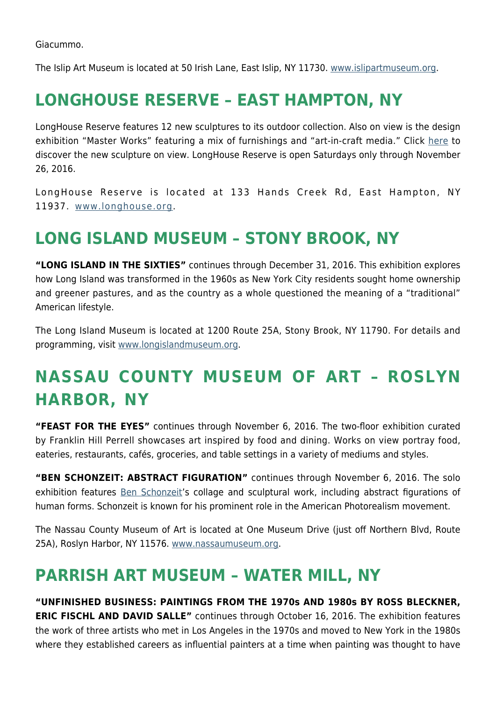Giacummo.

The Islip Art Museum is located at 50 Irish Lane, East Islip, NY 11730. [www.islipartmuseum.org.](http://www.islipartmuseum.org/)

### **LONGHOUSE RESERVE – EAST HAMPTON, NY**

LongHouse Reserve features 12 new sculptures to its outdoor collection. Also on view is the design exhibition "Master Works" featuring a mix of furnishings and "art-in-craft media." Click [here](https://hamptonsarthub.com/2016/04/27/exhibitions-new-sculptures-unveiled-for-longhouses-summer-season/) to discover the new sculpture on view. LongHouse Reserve is open Saturdays only through November 26, 2016.

LongHouse Reserve is located at 133 Hands Creek Rd, East Hampton, NY 11937. [www.longhouse.org.](http://www.longhouse.org/)

### **LONG ISLAND MUSEUM – STONY BROOK, NY**

**"LONG ISLAND IN THE SIXTIES"** continues through December 31, 2016. This exhibition explores how Long Island was transformed in the 1960s as New York City residents sought home ownership and greener pastures, and as the country as a whole questioned the meaning of a "traditional" American lifestyle.

The Long Island Museum is located at 1200 Route 25A, Stony Brook, NY 11790. For details and programming, visit [www.longislandmuseum.org.](http://www.longislandmuseum.org/)

## **NASSAU COUNTY MUSEUM OF ART – ROSLYN HARBOR, NY**

**"FEAST FOR THE EYES"** continues through November 6, 2016. The two-floor exhibition curated by Franklin Hill Perrell showcases art inspired by food and dining. Works on view portray food, eateries, restaurants, cafés, groceries, and table settings in a variety of mediums and styles.

**"BEN SCHONZEIT: ABSTRACT FIGURATION"** continues through November 6, 2016. The solo exhibition features [Ben Schonzeit'](http://www.benschonzeit.com/)s collage and sculptural work, including abstract figurations of human forms. Schonzeit is known for his prominent role in the American Photorealism movement.

The Nassau County Museum of Art is located at One Museum Drive (just off Northern Blvd, Route 25A), Roslyn Harbor, NY 11576. [www.nassaumuseum.org](http://www.nassaumuseum.org/).

### **PARRISH ART MUSEUM – WATER MILL, NY**

**"UNFINISHED BUSINESS: PAINTINGS FROM THE 1970s AND 1980s BY ROSS BLECKNER, ERIC FISCHL AND DAVID SALLE"** continues through October 16, 2016. The exhibition features the work of three artists who met in Los Angeles in the 1970s and moved to New York in the 1980s where they established careers as influential painters at a time when painting was thought to have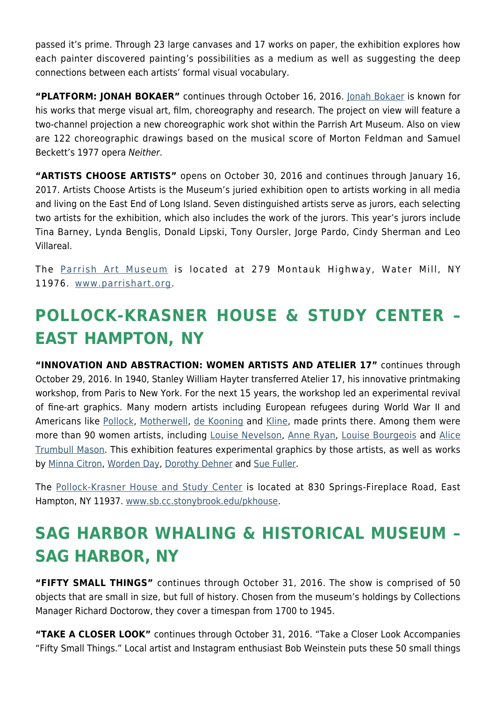passed it's prime. Through 23 large canvases and 17 works on paper, the exhibition explores how each painter discovered painting's possibilities as a medium as well as suggesting the deep connections between each artists' formal visual vocabulary.

**"PLATFORM: JONAH BOKAER"** continues through October 16, 2016. [Jonah Bokaer](http://jonahbokaer.net/) is known for his works that merge visual art, film, choreography and research. The project on view will feature a two-channel projection a new choreographic work shot within the Parrish Art Museum. Also on view are 122 choreographic drawings based on the musical score of Morton Feldman and Samuel Beckett's 1977 opera Neither.

**"ARTISTS CHOOSE ARTISTS"** opens on October 30, 2016 and continues through January 16, 2017. Artists Choose Artists is the Museum's juried exhibition open to artists working in all media and living on the East End of Long Island. Seven distinguished artists serve as jurors, each selecting two artists for the exhibition, which also includes the work of the jurors. This year's jurors include Tina Barney, Lynda Benglis, Donald Lipski, Tony Oursler, Jorge Pardo, Cindy Sherman and Leo Villareal.

The [Parrish Art Museum](https://hamptonsarthub.com/museum-guide/the-parrish-art-museum/) is located at 279 Montauk Highway, Water Mill, NY 11976. [www.parrishart.org.](http://www.parrishart.org/)

## **POLLOCK-KRASNER HOUSE & STUDY CENTER – EAST HAMPTON, NY**

**"INNOVATION AND ABSTRACTION: WOMEN ARTISTS AND ATELIER 17"** continues through October 29, 2016. In 1940, Stanley William Hayter transferred Atelier 17, his innovative printmaking workshop, from Paris to New York. For the next 15 years, the workshop led an experimental revival of fine-art graphics. Many modern artists including European refugees during World War II and Americans like [Pollock,](https://hamptonsarthub.com/2016/01/25/biography-of-a-pollock-painting-the-artists-hand/) [Motherwell,](https://hamptonsarthub.com/2014/08/25/art-review-at-guild-hall-motherwells-process-of-evolution-revealed/) [de Kooning](http://www.theartstory.org/artist-de-kooning-willem.htm) and [Kline,](https://en.wikipedia.org/wiki/Franz_Kline) made prints there. Among them were more than 90 women artists, including [Louise Nevelson](http://www.louisenevelsonfoundation.org/), [Anne Ryan,](https://en.wikipedia.org/wiki/Anne_Ryan) [Louise Bourgeois](http://www.theartstory.org/artist-bourgeois-louise.htm) and [Alice](http://americanart.si.edu/collections/search/artist/?id=3151) [Trumbull Mason.](http://americanart.si.edu/collections/search/artist/?id=3151) This exhibition features experimental graphics by those artists, as well as works by [Minna Citron,](http://www.nytimes.com/1991/12/24/arts/minna-citron-95-artist-whose-work-spanned-2-schools.html) [Worden Day,](https://en.wikipedia.org/wiki/Worden_Day) [Dorothy Dehner](http://www.phillipscollection.org/research/american_art/bios/dehner-bio.htm) and [Sue Fuller](http://www.metmuseum.org/art/collection/search/488831).

The [Pollock-Krasner House and Study Center](https://hamptonsarthub.com/museum-guide/pollock-krasner-house-and-study-center/) is located at 830 Springs-Fireplace Road, East Hampton, NY 11937. [www.sb.cc.stonybrook.edu/pkhouse.](http://www.sb.cc.stonybrook.edu/pkhouse)

## **SAG HARBOR WHALING & HISTORICAL MUSEUM – SAG HARBOR, NY**

**"FIFTY SMALL THINGS"** continues through October 31, 2016. The show is comprised of 50 objects that are small in size, but full of history. Chosen from the museum's holdings by Collections Manager Richard Doctorow, they cover a timespan from 1700 to 1945.

**"TAKE A CLOSER LOOK"** continues through October 31, 2016. "Take a Closer Look Accompanies "Fifty Small Things." Local artist and Instagram enthusiast Bob Weinstein puts these 50 small things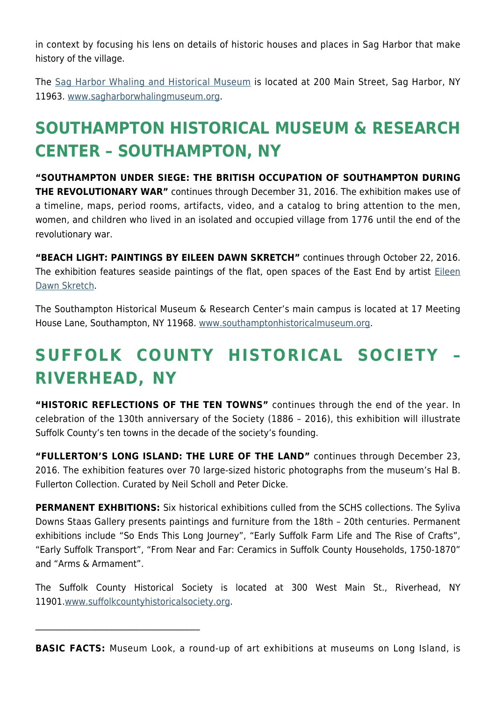in context by focusing his lens on details of historic houses and places in Sag Harbor that make history of the village.

The [Sag Harbor Whaling and Historical Museum](https://hamptonsarthub.com/museum-guide/sag-harbor-whaling-museum/) is located at 200 Main Street, Sag Harbor, NY 11963. [www.sagharborwhalingmuseum.org](http://www.sagharborwhalingmuseum.org/).

## **SOUTHAMPTON HISTORICAL MUSEUM & RESEARCH CENTER – SOUTHAMPTON, NY**

**"SOUTHAMPTON UNDER SIEGE: THE BRITISH OCCUPATION OF SOUTHAMPTON DURING THE REVOLUTIONARY WAR"** continues through December 31, 2016. The exhibition makes use of a timeline, maps, period rooms, artifacts, video, and a catalog to bring attention to the men, women, and children who lived in an isolated and occupied village from 1776 until the end of the revolutionary war.

**"BEACH LIGHT: PAINTINGS BY EILEEN DAWN SKRETCH"** continues through October 22, 2016. The exhibition features seaside paintings of the flat, open spaces of the East End by artist [Eileen](http://www.eileendawnskretch.com/) [Dawn Skretch](http://www.eileendawnskretch.com/).

The Southampton Historical Museum & Research Center's main campus is located at 17 Meeting House Lane, Southampton, NY 11968. [www.southamptonhistoricalmuseum.org](http://www.southamptonhistoricalmuseum.org/).

## **SUFFOLK COUNTY HISTORICAL SOCIETY – RIVERHEAD, NY**

**"HISTORIC REFLECTIONS OF THE TEN TOWNS"** continues through the end of the year. In celebration of the 130th anniversary of the Society (1886 – 2016), this exhibition will illustrate Suffolk County's ten towns in the decade of the society's founding.

**"FULLERTON'S LONG ISLAND: THE LURE OF THE LAND"** continues through December 23, 2016. The exhibition features over 70 large-sized historic photographs from the museum's Hal B. Fullerton Collection. Curated by Neil Scholl and Peter Dicke.

**PERMANENT EXHBITIONS:** Six historical exhibitions culled from the SCHS collections. The Syliva Downs Staas Gallery presents paintings and furniture from the 18th – 20th centuries. Permanent exhibitions include "So Ends This Long Journey", "Early Suffolk Farm Life and The Rise of Crafts", "Early Suffolk Transport", "From Near and Far: Ceramics in Suffolk County Households, 1750-1870" and "Arms & Armament".

The Suffolk County Historical Society is located at 300 West Main St., Riverhead, NY 11901.[www.suffolkcountyhistoricalsociety.org](http://www.suffolkcountyhistoricalsociety.org/).

 $\mathcal{L}_\text{max}$  and  $\mathcal{L}_\text{max}$  and  $\mathcal{L}_\text{max}$  and  $\mathcal{L}_\text{max}$ 

**BASIC FACTS:** Museum Look, a round-up of art exhibitions at museums on Long Island, is